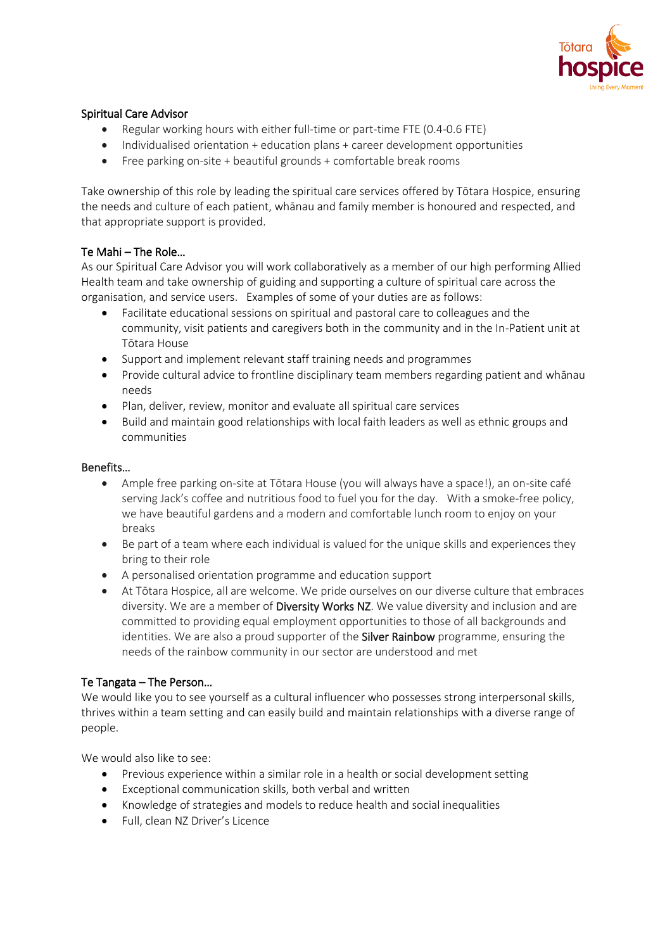

### Spiritual Care Advisor

- Regular working hours with either full-time or part-time FTE (0.4-0.6 FTE)
- Individualised orientation + education plans + career development opportunities
- Free parking on-site + beautiful grounds + comfortable break rooms

Take ownership of this role by leading the spiritual care services offered by Tōtara Hospice, ensuring the needs and culture of each patient, whānau and family member is honoured and respected, and that appropriate support is provided.

## Te Mahi – The Role…

As our Spiritual Care Advisor you will work collaboratively as a member of our high performing Allied Health team and take ownership of guiding and supporting a culture of spiritual care across the organisation, and service users. Examples of some of your duties are as follows:

- Facilitate educational sessions on spiritual and pastoral care to colleagues and the community, visit patients and caregivers both in the community and in the In-Patient unit at Tōtara House
- Support and implement relevant staff training needs and programmes
- Provide cultural advice to frontline disciplinary team members regarding patient and whānau needs
- Plan, deliver, review, monitor and evaluate all spiritual care services
- Build and maintain good relationships with local faith leaders as well as ethnic groups and communities

### Benefits…

- Ample free parking on-site at Tōtara House (you will always have a space!), an on-site café serving Jack's coffee and nutritious food to fuel you for the day. With a smoke-free policy, we have beautiful gardens and a modern and comfortable lunch room to enjoy on your breaks
- Be part of a team where each individual is valued for the unique skills and experiences they bring to their role
- A personalised orientation programme and education support
- At Tōtara Hospice, all are welcome. We pride ourselves on our diverse culture that embraces diversity. We are a member of Diversity Works NZ. We value diversity and inclusion and are committed to providing equal employment opportunities to those of all backgrounds and identities. We are also a proud supporter of the **Silver Rainbow** programme, ensuring the needs of the rainbow community in our sector are understood and met

# Te Tangata – The Person…

We would like you to see yourself as a cultural influencer who possesses strong interpersonal skills, thrives within a team setting and can easily build and maintain relationships with a diverse range of people.

We would also like to see:

- Previous experience within a similar role in a health or social development setting
- Exceptional communication skills, both verbal and written
- Knowledge of strategies and models to reduce health and social inequalities
- Full, clean NZ Driver's Licence